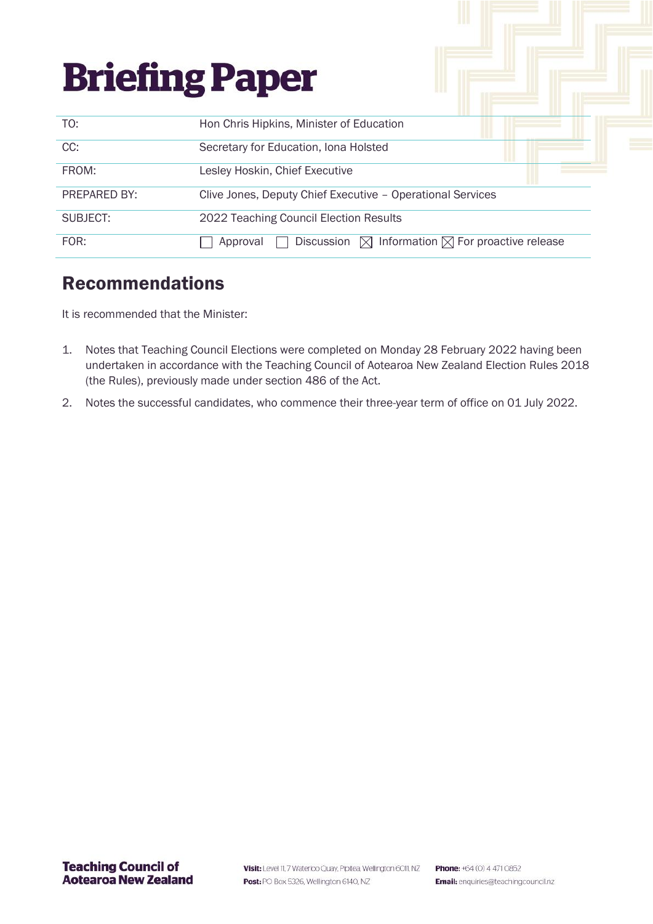| <b>Briefing Paper</b> |                                                                                  |
|-----------------------|----------------------------------------------------------------------------------|
| TO:                   | Hon Chris Hipkins, Minister of Education                                         |
| CC:                   | Secretary for Education, Iona Holsted                                            |
| FROM:                 | Lesley Hoskin, Chief Executive                                                   |
| PREPARED BY:          | Clive Jones, Deputy Chief Executive - Operational Services                       |
| SUBJECT:              | 2022 Teaching Council Election Results                                           |
| FOR:                  | Discussion $\boxtimes$ Information $\boxtimes$ For proactive release<br>Approval |

# Recommendations

It is recommended that the Minister:

- 1. Notes that Teaching Council Elections were completed on Monday 28 February 2022 having been undertaken in accordance with the Teaching Council of Aotearoa New Zealand Election Rules 2018 (the Rules), previously made under section 486 of the Act.
- 2. Notes the successful candidates, who commence their three-year term of office on 01 July 2022.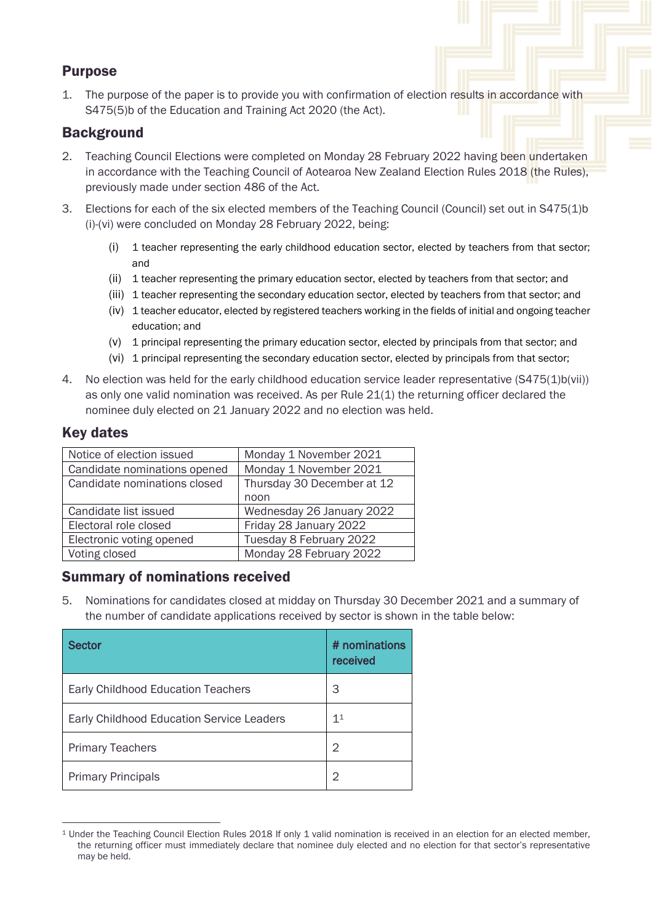# Purpose

1. The purpose of the paper is to provide you with confirmation of election results in accordance with S475(5)b of the Education and Training Act 2020 (the Act).

## **Background**

- 2. Teaching Council Elections were completed on Monday 28 February 2022 having been undertaken in accordance with the Teaching Council of Aotearoa New Zealand Election Rules 2018 (the Rules), previously made under section 486 of the Act.
- 3. Elections for each of the six elected members of the Teaching Council (Council) set out in S475(1)b (i)-(vi) were concluded on Monday 28 February 2022, being:
	- (i) 1 teacher representing the early childhood education sector, elected by teachers from that sector; and
	- (ii) 1 teacher representing the primary education sector, elected by teachers from that sector; and
	- (iii) 1 teacher representing the secondary education sector, elected by teachers from that sector; and
	- (iv) 1 teacher educator, elected by registered teachers working in the fields of initial and ongoing teacher education; and
	- (v) 1 principal representing the primary education sector, elected by principals from that sector; and
	- (vi) 1 principal representing the secondary education sector, elected by principals from that sector;
- 4. No election was held for the early childhood education service leader representative (S475(1)b(vii)) as only one valid nomination was received. As per Rule 21(1) the returning officer declared the nominee duly elected on 21 January 2022 and no election was held.

# Key dates

| Notice of election issued    | Monday 1 November 2021     |  |  |
|------------------------------|----------------------------|--|--|
| Candidate nominations opened | Monday 1 November 2021     |  |  |
| Candidate nominations closed | Thursday 30 December at 12 |  |  |
|                              | noon                       |  |  |
| Candidate list issued        | Wednesday 26 January 2022  |  |  |
| Electoral role closed        | Friday 28 January 2022     |  |  |
| Electronic voting opened     | Tuesday 8 February 2022    |  |  |
| Voting closed                | Monday 28 February 2022    |  |  |

## Summary of nominations received

5. Nominations for candidates closed at midday on Thursday 30 December 2021 and a summary of the number of candidate applications received by sector is shown in the table below:

| <b>Sector</b>                                    | # nominations<br>received |
|--------------------------------------------------|---------------------------|
| <b>Early Childhood Education Teachers</b>        | 3                         |
| <b>Early Childhood Education Service Leaders</b> | 11                        |
| <b>Primary Teachers</b>                          | 2                         |
| <b>Primary Principals</b>                        | 2                         |

<sup>1</sup> Under the Teaching Council Election Rules 2018 If only 1 valid nomination is received in an election for an elected member, the returning officer must immediately declare that nominee duly elected and no election for that sector's representative may be held.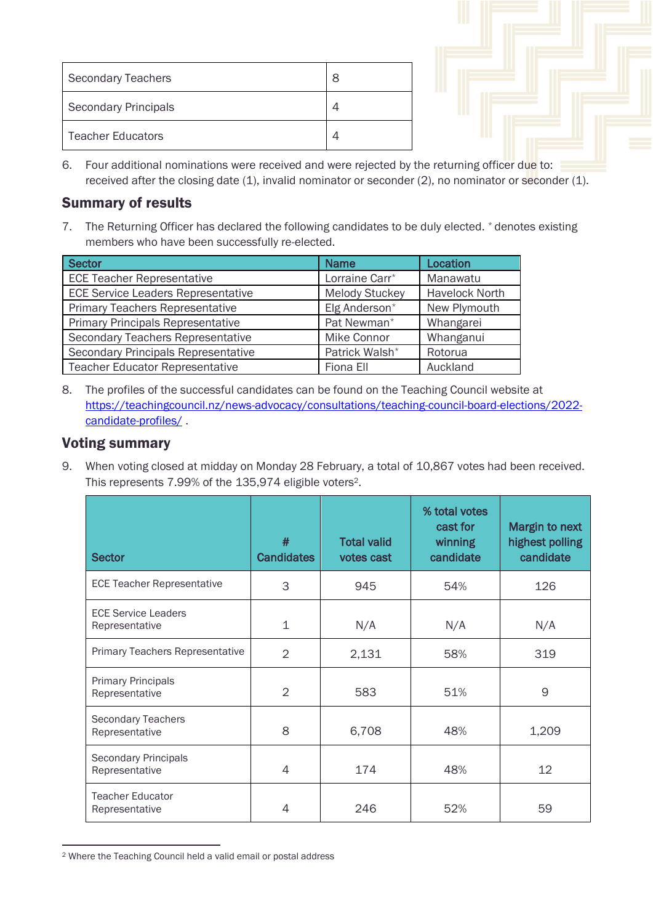| Secondary Teachers       | 8 |
|--------------------------|---|
| Secondary Principals     |   |
| <b>Teacher Educators</b> |   |

6. Four additional nominations were received and were rejected by the returning officer due to: received after the closing date (1), invalid nominator or seconder (2), no nominator or seconder (1).

### Summary of results

7. The Returning Officer has declared the following candidates to be duly elected. \* denotes existing members who have been successfully re-elected.

| <b>Sector</b>                              | <b>Name</b>                                    | Location     |
|--------------------------------------------|------------------------------------------------|--------------|
| <b>ECE Teacher Representative</b>          | Lorraine Carr*                                 | Manawatu     |
| <b>ECE Service Leaders Representative</b>  | <b>Melody Stuckey</b><br><b>Havelock North</b> |              |
| <b>Primary Teachers Representative</b>     | Elg Anderson*                                  | New Plymouth |
| <b>Primary Principals Representative</b>   | Pat Newman*                                    | Whangarei    |
| Secondary Teachers Representative          | Mike Connor                                    | Whanganui    |
| <b>Secondary Principals Representative</b> | Patrick Walsh*                                 | Rotorua      |
| <b>Teacher Educator Representative</b>     | Fiona Ell                                      | Auckland     |

8. The profiles of the successful candidates can be found on the Teaching Council website at [https://teachingcouncil.nz/news-advocacy/consultations/teaching-council-board-elections/2022](https://teachingcouncil.nz/news-advocacy/consultations/teaching-council-board-elections/2022-candidate-profiles/) [candidate-profiles/](https://teachingcouncil.nz/news-advocacy/consultations/teaching-council-board-elections/2022-candidate-profiles/).

#### Voting summary

9. When voting closed at midday on Monday 28 February, a total of 10,867 votes had been received. This represents 7.99% of the 135,974 eligible voters2.

| <b>Sector</b>                                 | #<br><b>Candidates</b> | <b>Total valid</b><br>votes cast | % total votes<br>cast for<br><b>winning</b><br>candidate | Margin to next<br>highest polling<br>candidate |
|-----------------------------------------------|------------------------|----------------------------------|----------------------------------------------------------|------------------------------------------------|
| <b>ECE Teacher Representative</b>             | 3                      | 945                              | 54%                                                      | 126                                            |
| <b>ECE Service Leaders</b><br>Representative  | 1                      | N/A                              | N/A                                                      | N/A                                            |
| Primary Teachers Representative               | $\overline{2}$         | 2,131                            | 58%                                                      | 319                                            |
| <b>Primary Principals</b><br>Representative   | $\overline{2}$         | 583                              | 51%                                                      | 9                                              |
| <b>Secondary Teachers</b><br>Representative   | 8                      | 6,708                            | 48%                                                      | 1,209                                          |
| <b>Secondary Principals</b><br>Representative | 4                      | 174                              | 48%                                                      | 12                                             |
| <b>Teacher Educator</b><br>Representative     | 4                      | 246                              | 52%                                                      | 59                                             |

<sup>2</sup> Where the Teaching Council held a valid email or postal address